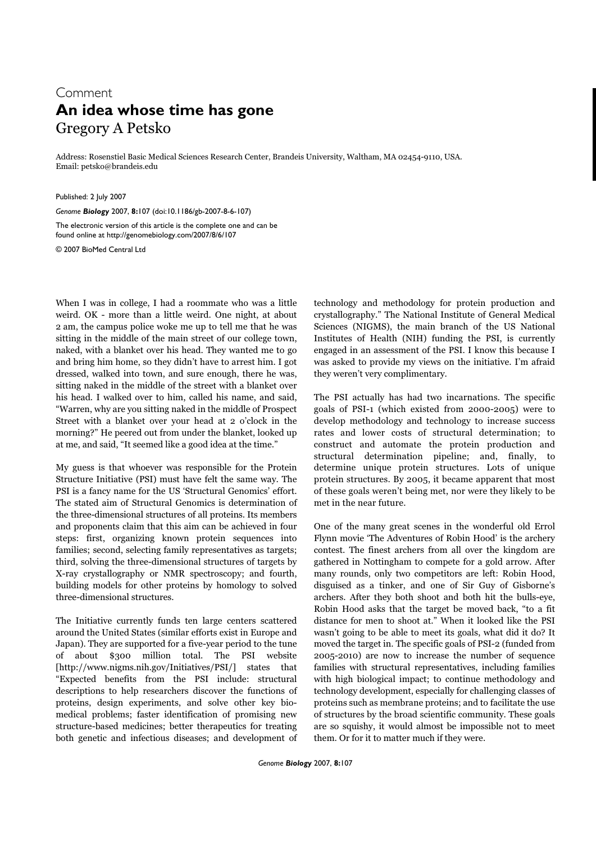## Comment **An idea whose time has gone** Gregory A Petsko

Address: Rosenstiel Basic Medical Sciences Research Center, Brandeis University, Waltham, MA 02454-9110, USA. Email: petsko@brandeis.edu

Published: 2 July 2007

*Genome Biology* 2007, **8:**107 (doi:10.1186/gb-2007-8-6-107)

The electronic version of this article is the complete one and can be found online at http://genomebiology.com/2007/8/6/107

© 2007 BioMed Central Ltd

When I was in college, I had a roommate who was a little weird. OK - more than a little weird. One night, at about 2 am, the campus police woke me up to tell me that he was sitting in the middle of the main street of our college town, naked, with a blanket over his head. They wanted me to go and bring him home, so they didn't have to arrest him. I got dressed, walked into town, and sure enough, there he was, sitting naked in the middle of the street with a blanket over his head. I walked over to him, called his name, and said, "Warren, why are you sitting naked in the middle of Prospect Street with a blanket over your head at 2 o'clock in the morning?" He peered out from under the blanket, looked up at me, and said, "It seemed like a good idea at the time."

My guess is that whoever was responsible for the Protein Structure Initiative (PSI) must have felt the same way. The PSI is a fancy name for the US 'Structural Genomics' effort. The stated aim of Structural Genomics is determination of the three-dimensional structures of all proteins. Its members and proponents claim that this aim can be achieved in four steps: first, organizing known protein sequences into families; second, selecting family representatives as targets; third, solving the three-dimensional structures of targets by X-ray crystallography or NMR spectroscopy; and fourth, building models for other proteins by homology to solved three-dimensional structures.

The Initiative currently funds ten large centers scattered around the United States (similar efforts exist in Europe and Japan). They are supported for a five-year period to the tune of about \$300 million total. The PSI website [http://www.nigms.nih.gov/Initiatives/PSI/] states that "Expected benefits from the PSI include: structural descriptions to help researchers discover the functions of proteins, design experiments, and solve other key biomedical problems; faster identification of promising new structure-based medicines; better therapeutics for treating both genetic and infectious diseases; and development of technology and methodology for protein production and crystallography." The National Institute of General Medical Sciences (NIGMS), the main branch of the US National Institutes of Health (NIH) funding the PSI, is currently engaged in an assessment of the PSI. I know this because I was asked to provide my views on the initiative. I'm afraid they weren't very complimentary.

The PSI actually has had two incarnations. The specific goals of PSI-1 (which existed from 2000-2005) were to develop methodology and technology to increase success rates and lower costs of structural determination; to construct and automate the protein production and structural determination pipeline; and, finally, to determine unique protein structures. Lots of unique protein structures. By 2005, it became apparent that most of these goals weren't being met, nor were they likely to be met in the near future.

One of the many great scenes in the wonderful old Errol Flynn movie 'The Adventures of Robin Hood' is the archery contest. The finest archers from all over the kingdom are gathered in Nottingham to compete for a gold arrow. After many rounds, only two competitors are left: Robin Hood, disguised as a tinker, and one of Sir Guy of Gisborne's archers. After they both shoot and both hit the bulls-eye, Robin Hood asks that the target be moved back, "to a fit distance for men to shoot at." When it looked like the PSI wasn't going to be able to meet its goals, what did it do? It moved the target in. The specific goals of PSI-2 (funded from 2005-2010) are now to increase the number of sequence families with structural representatives, including families with high biological impact; to continue methodology and technology development, especially for challenging classes of proteins such as membrane proteins; and to facilitate the use of structures by the broad scientific community. These goals are so squishy, it would almost be impossible not to meet them. Or for it to matter much if they were.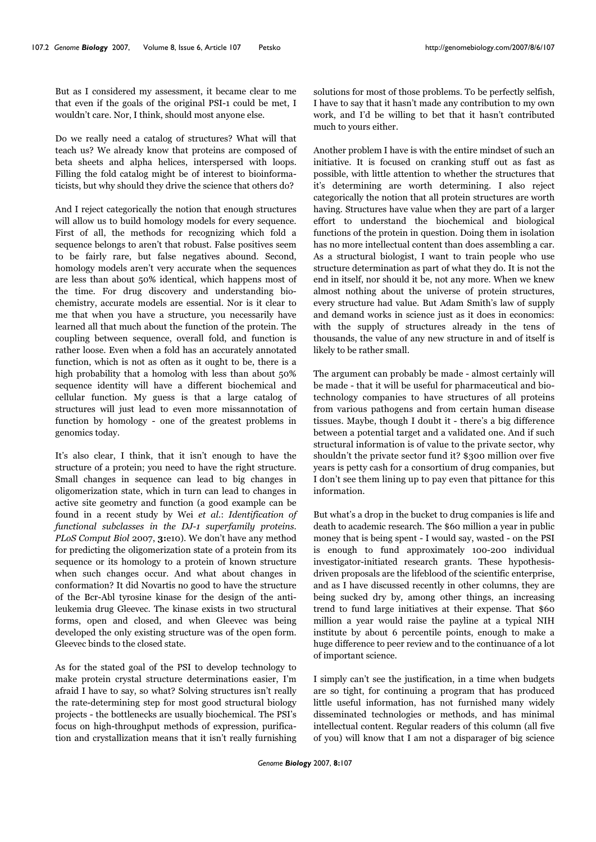But as I considered my assessment, it became clear to me that even if the goals of the original PSI-1 could be met, I wouldn't care. Nor, I think, should most anyone else.

Do we really need a catalog of structures? What will that teach us? We already know that proteins are composed of beta sheets and alpha helices, interspersed with loops. Filling the fold catalog might be of interest to bioinformaticists, but why should they drive the science that others do?

And I reject categorically the notion that enough structures will allow us to build homology models for every sequence. First of all, the methods for recognizing which fold a sequence belongs to aren't that robust. False positives seem to be fairly rare, but false negatives abound. Second, homology models aren't very accurate when the sequences are less than about 50% identical, which happens most of the time. For drug discovery and understanding biochemistry, accurate models are essential. Nor is it clear to me that when you have a structure, you necessarily have learned all that much about the function of the protein. The coupling between sequence, overall fold, and function is rather loose. Even when a fold has an accurately annotated function, which is not as often as it ought to be, there is a high probability that a homolog with less than about 50% sequence identity will have a different biochemical and cellular function. My guess is that a large catalog of structures will just lead to even more missannotation of function by homology - one of the greatest problems in genomics today.

It's also clear, I think, that it isn't enough to have the structure of a protein; you need to have the right structure. Small changes in sequence can lead to big changes in oligomerization state, which in turn can lead to changes in active site geometry and function (a good example can be found in a recent study by Wei et al.: Identification of functional subclasses in the DJ-1 superfamily proteins. PLoS Comput Biol 2007, 3:e10). We don't have any method for predicting the oligomerization state of a protein from its sequence or its homology to a protein of known structure when such changes occur. And what about changes in conformation? It did Novartis no good to have the structure of the Bcr-Abl tyrosine kinase for the design of the antileukemia drug Gleevec. The kinase exists in two structural forms, open and closed, and when Gleevec was being developed the only existing structure was of the open form. Gleevec binds to the closed state.

As for the stated goal of the PSI to develop technology to make protein crystal structure determinations easier, I'm afraid I have to say, so what? Solving structures isn't really the rate-determining step for most good structural biology projects - the bottlenecks are usually biochemical. The PSI's focus on high-throughput methods of expression, purification and crystallization means that it isn't really furnishing

solutions for most of those problems. To be perfectly selfish, I have to say that it hasn't made any contribution to my own work, and I'd be willing to bet that it hasn't contributed much to yours either.

Another problem I have is with the entire mindset of such an initiative. It is focused on cranking stuff out as fast as possible, with little attention to whether the structures that it's determining are worth determining. I also reject categorically the notion that all protein structures are worth having. Structures have value when they are part of a larger effort to understand the biochemical and biological functions of the protein in question. Doing them in isolation has no more intellectual content than does assembling a car. As a structural biologist, I want to train people who use structure determination as part of what they do. It is not the end in itself, nor should it be, not any more. When we knew almost nothing about the universe of protein structures, every structure had value. But Adam Smith's law of supply and demand works in science just as it does in economics: with the supply of structures already in the tens of thousands, the value of any new structure in and of itself is likely to be rather small.

The argument can probably be made - almost certainly will be made - that it will be useful for pharmaceutical and biotechnology companies to have structures of all proteins from various pathogens and from certain human disease tissues. Maybe, though I doubt it - there's a big difference between a potential target and a validated one. And if such structural information is of value to the private sector, why shouldn't the private sector fund it? \$300 million over five years is petty cash for a consortium of drug companies, but I don't see them lining up to pay even that pittance for this information.

But what's a drop in the bucket to drug companies is life and death to academic research. The \$60 million a year in public money that is being spent - I would say, wasted - on the PSI is enough to fund approximately 100-200 individual investigator-initiated research grants. These hypothesisdriven proposals are the lifeblood of the scientific enterprise, and as I have discussed recently in other columns, they are being sucked dry by, among other things, an increasing trend to fund large initiatives at their expense. That \$60 million a year would raise the payline at a typical NIH institute by about 6 percentile points, enough to make a huge difference to peer review and to the continuance of a lot of important science.

I simply can't see the justification, in a time when budgets are so tight, for continuing a program that has produced little useful information, has not furnished many widely disseminated technologies or methods, and has minimal intellectual content. Regular readers of this column (all five of you) will know that I am not a disparager of big science